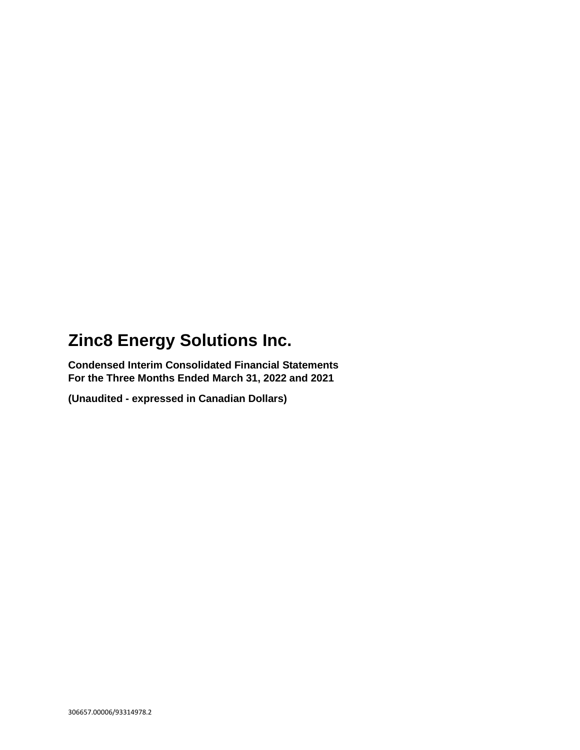**Condensed Interim Consolidated Financial Statements For the Three Months Ended March 31, 2022 and 2021**

**(Unaudited - expressed in Canadian Dollars)**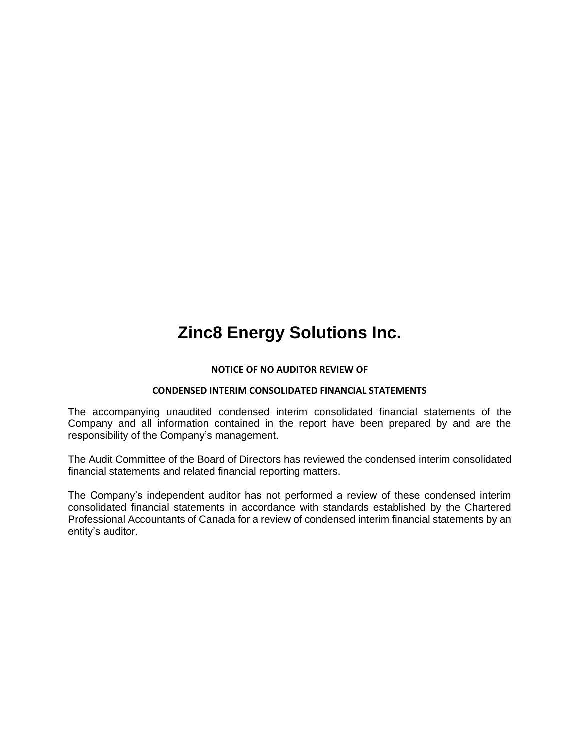#### **NOTICE OF NO AUDITOR REVIEW OF**

#### **CONDENSED INTERIM CONSOLIDATED FINANCIAL STATEMENTS**

The accompanying unaudited condensed interim consolidated financial statements of the Company and all information contained in the report have been prepared by and are the responsibility of the Company's management.

The Audit Committee of the Board of Directors has reviewed the condensed interim consolidated financial statements and related financial reporting matters.

The Company's independent auditor has not performed a review of these condensed interim consolidated financial statements in accordance with standards established by the Chartered Professional Accountants of Canada for a review of condensed interim financial statements by an entity's auditor.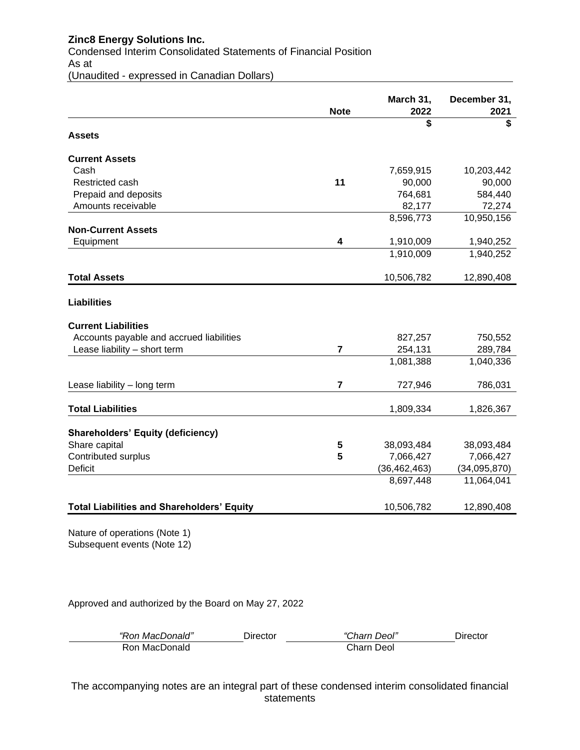Condensed Interim Consolidated Statements of Financial Position As at (Unaudited - expressed in Canadian Dollars)

| <b>Note</b><br><b>Assets</b><br><b>Current Assets</b><br>Cash<br>11<br>Restricted cash<br>Prepaid and deposits<br>Amounts receivable<br><b>Non-Current Assets</b><br>$\overline{\mathbf{4}}$<br>Equipment<br><b>Total Assets</b><br><b>Liabilities</b> | 2022<br>\$     | 2021<br>\$   |
|--------------------------------------------------------------------------------------------------------------------------------------------------------------------------------------------------------------------------------------------------------|----------------|--------------|
|                                                                                                                                                                                                                                                        |                |              |
|                                                                                                                                                                                                                                                        |                |              |
|                                                                                                                                                                                                                                                        |                |              |
|                                                                                                                                                                                                                                                        | 7,659,915      | 10,203,442   |
|                                                                                                                                                                                                                                                        | 90,000         | 90,000       |
|                                                                                                                                                                                                                                                        | 764,681        | 584,440      |
|                                                                                                                                                                                                                                                        | 82,177         | 72,274       |
|                                                                                                                                                                                                                                                        | 8,596,773      | 10,950,156   |
|                                                                                                                                                                                                                                                        |                |              |
|                                                                                                                                                                                                                                                        | 1,910,009      | 1,940,252    |
|                                                                                                                                                                                                                                                        | 1,910,009      | 1,940,252    |
|                                                                                                                                                                                                                                                        | 10,506,782     | 12,890,408   |
|                                                                                                                                                                                                                                                        |                |              |
| <b>Current Liabilities</b>                                                                                                                                                                                                                             |                |              |
| Accounts payable and accrued liabilities                                                                                                                                                                                                               | 827,257        | 750,552      |
| $\overline{7}$<br>Lease liability - short term                                                                                                                                                                                                         | 254,131        | 289,784      |
|                                                                                                                                                                                                                                                        | 1,081,388      | 1,040,336    |
| $\overline{7}$<br>Lease liability - long term                                                                                                                                                                                                          | 727,946        | 786,031      |
| <b>Total Liabilities</b>                                                                                                                                                                                                                               | 1,809,334      | 1,826,367    |
| <b>Shareholders' Equity (deficiency)</b>                                                                                                                                                                                                               |                |              |
| Share capital<br>5                                                                                                                                                                                                                                     | 38,093,484     | 38,093,484   |
| Contributed surplus<br>5                                                                                                                                                                                                                               | 7,066,427      | 7,066,427    |
| <b>Deficit</b>                                                                                                                                                                                                                                         | (36, 462, 463) | (34,095,870) |
|                                                                                                                                                                                                                                                        | 8,697,448      | 11,064,041   |
| <b>Total Liabilities and Shareholders' Equity</b>                                                                                                                                                                                                      | 10,506,782     | 12,890,408   |
|                                                                                                                                                                                                                                                        |                |              |

Nature of operations (Note 1) Subsequent events (Note 12)

Approved and authorized by the Board on May 27, 2022

| "Ron MacDonald" | Director | "Charn Deol" | Director |
|-----------------|----------|--------------|----------|
| Ron MacDonald   |          | Charn Deol   |          |

The accompanying notes are an integral part of these condensed interim consolidated financial statements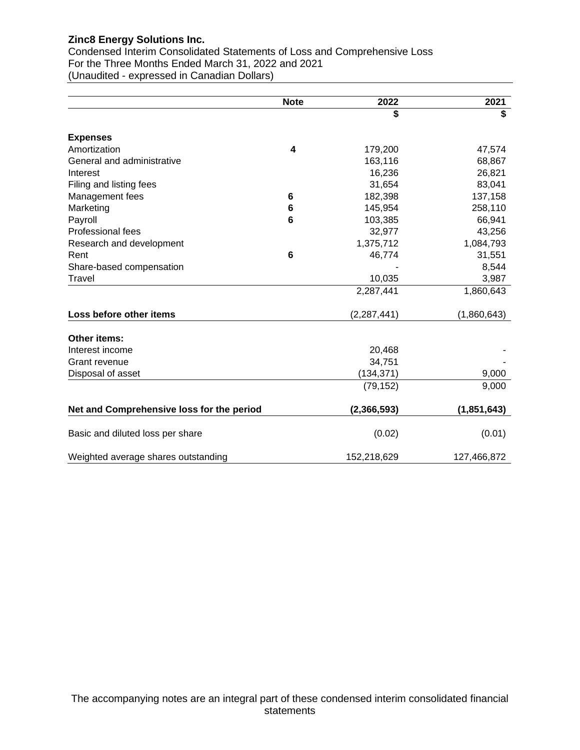Condensed Interim Consolidated Statements of Loss and Comprehensive Loss For the Three Months Ended March 31, 2022 and 2021 (Unaudited - expressed in Canadian Dollars)

|                                           | <b>Note</b> | 2022          | 2021          |
|-------------------------------------------|-------------|---------------|---------------|
|                                           |             | \$            | \$            |
| <b>Expenses</b>                           |             |               |               |
| Amortization                              | 4           | 179,200       | 47,574        |
| General and administrative                |             | 163,116       | 68,867        |
| Interest                                  |             | 16,236        | 26,821        |
| Filing and listing fees                   |             | 31,654        | 83,041        |
| Management fees                           | 6           | 182,398       | 137,158       |
| Marketing                                 | 6           | 145,954       | 258,110       |
| Payroll                                   | 6           | 103,385       | 66,941        |
| <b>Professional fees</b>                  |             | 32,977        | 43,256        |
| Research and development                  |             | 1,375,712     | 1,084,793     |
| Rent                                      | 6           | 46,774        | 31,551        |
| Share-based compensation                  |             |               | 8,544         |
| Travel                                    |             | 10,035        | 3,987         |
|                                           |             | 2,287,441     | 1,860,643     |
| Loss before other items                   |             | (2, 287, 441) | (1,860,643)   |
| <b>Other items:</b>                       |             |               |               |
| Interest income                           |             | 20,468        |               |
| Grant revenue                             |             | 34,751        |               |
| Disposal of asset                         |             | (134, 371)    | 9,000         |
|                                           |             | (79, 152)     | 9,000         |
| Net and Comprehensive loss for the period |             | (2,366,593)   | (1, 851, 643) |
| Basic and diluted loss per share          |             | (0.02)        | (0.01)        |
| Weighted average shares outstanding       |             | 152,218,629   | 127,466,872   |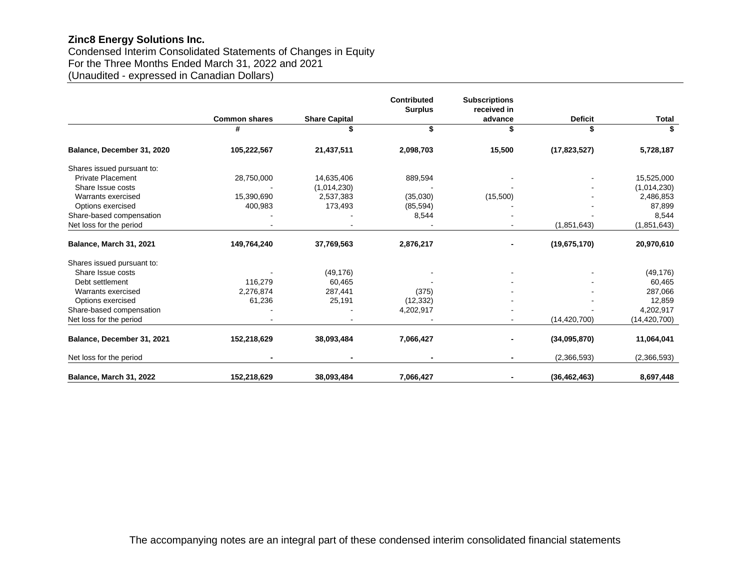Condensed Interim Consolidated Statements of Changes in Equity For the Three Months Ended March 31, 2022 and 2021 (Unaudited - expressed in Canadian Dollars)

|                            |                      |                      | <b>Contributed</b> | <b>Subscriptions</b><br>received in |                |                |
|----------------------------|----------------------|----------------------|--------------------|-------------------------------------|----------------|----------------|
|                            | <b>Common shares</b> | <b>Share Capital</b> | <b>Surplus</b>     | advance                             | <b>Deficit</b> | Total          |
|                            | #                    |                      | \$                 |                                     |                |                |
| Balance, December 31, 2020 | 105,222,567          | 21,437,511           | 2,098,703          | 15,500                              | (17, 823, 527) | 5,728,187      |
| Shares issued pursuant to: |                      |                      |                    |                                     |                |                |
| <b>Private Placement</b>   | 28,750,000           | 14,635,406           | 889,594            |                                     |                | 15,525,000     |
| Share Issue costs          |                      | (1,014,230)          |                    |                                     |                | (1,014,230)    |
| Warrants exercised         | 15,390,690           | 2,537,383            | (35,030)           | (15,500)                            |                | 2,486,853      |
| Options exercised          | 400,983              | 173,493              | (85, 594)          |                                     |                | 87,899         |
| Share-based compensation   |                      |                      | 8,544              |                                     |                | 8,544          |
| Net loss for the period    |                      |                      |                    |                                     | (1, 851, 643)  | (1,851,643)    |
| Balance, March 31, 2021    | 149,764,240          | 37,769,563           | 2,876,217          |                                     | (19,675,170)   | 20,970,610     |
| Shares issued pursuant to: |                      |                      |                    |                                     |                |                |
| Share Issue costs          |                      | (49, 176)            |                    |                                     |                | (49, 176)      |
| Debt settlement            | 116,279              | 60,465               |                    |                                     |                | 60,465         |
| Warrants exercised         | 2,276,874            | 287,441              | (375)              |                                     |                | 287,066        |
| Options exercised          | 61,236               | 25,191               | (12, 332)          |                                     |                | 12,859         |
| Share-based compensation   |                      |                      | 4,202,917          |                                     |                | 4,202,917      |
| Net loss for the period    |                      |                      |                    | $\blacksquare$                      | (14, 420, 700) | (14, 420, 700) |
| Balance, December 31, 2021 | 152,218,629          | 38,093,484           | 7,066,427          |                                     | (34,095,870)   | 11,064,041     |
| Net loss for the period    |                      |                      |                    |                                     | (2,366,593)    | (2,366,593)    |
| Balance, March 31, 2022    | 152,218,629          | 38,093,484           | 7,066,427          |                                     | (36, 462, 463) | 8,697,448      |

The accompanying notes are an integral part of these condensed interim consolidated financial statements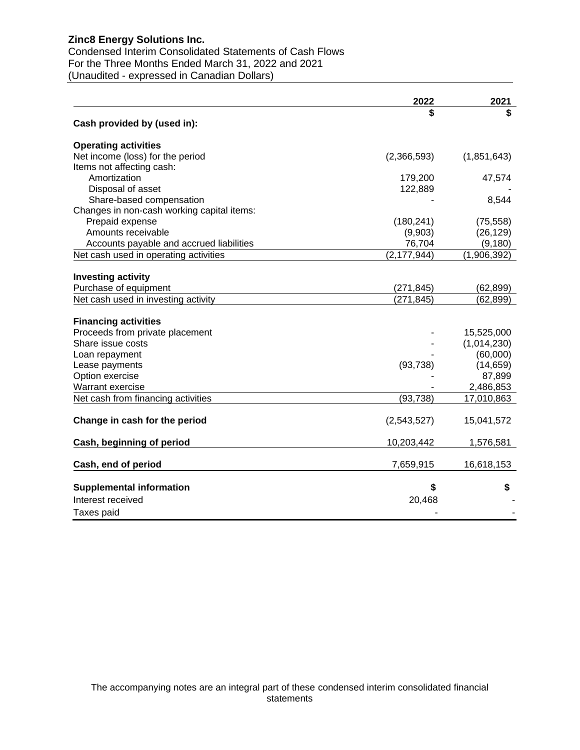Condensed Interim Consolidated Statements of Cash Flows For the Three Months Ended March 31, 2022 and 2021 (Unaudited - expressed in Canadian Dollars)

|                                            | 2022          | 2021        |
|--------------------------------------------|---------------|-------------|
|                                            | \$            |             |
| Cash provided by (used in):                |               |             |
| <b>Operating activities</b>                |               |             |
| Net income (loss) for the period           | (2,366,593)   | (1,851,643) |
| Items not affecting cash:                  |               |             |
| Amortization                               | 179,200       | 47,574      |
| Disposal of asset                          | 122,889       |             |
| Share-based compensation                   |               | 8,544       |
| Changes in non-cash working capital items: |               |             |
| Prepaid expense                            | (180, 241)    | (75, 558)   |
| Amounts receivable                         | (9,903)       | (26, 129)   |
| Accounts payable and accrued liabilities   | 76,704        | (9, 180)    |
| Net cash used in operating activities      | (2, 177, 944) | (1,906,392) |
|                                            |               |             |
| <b>Investing activity</b>                  |               |             |
| Purchase of equipment                      | (271, 845)    | (62, 899)   |
| Net cash used in investing activity        | (271, 845)    | (62, 899)   |
|                                            |               |             |
| <b>Financing activities</b>                |               |             |
| Proceeds from private placement            |               | 15,525,000  |
| Share issue costs                          |               | (1,014,230) |
| Loan repayment                             |               | (60,000)    |
| Lease payments                             | (93, 738)     | (14, 659)   |
| Option exercise                            |               | 87,899      |
| Warrant exercise                           |               | 2,486,853   |
| Net cash from financing activities         | (93, 738)     | 17,010,863  |
| Change in cash for the period              | (2,543,527)   | 15,041,572  |
|                                            |               |             |
| Cash, beginning of period                  | 10,203,442    | 1,576,581   |
| Cash, end of period                        | 7,659,915     | 16,618,153  |
|                                            |               |             |
| <b>Supplemental information</b>            | \$            | \$          |
| Interest received                          | 20,468        |             |
| Taxes paid                                 |               |             |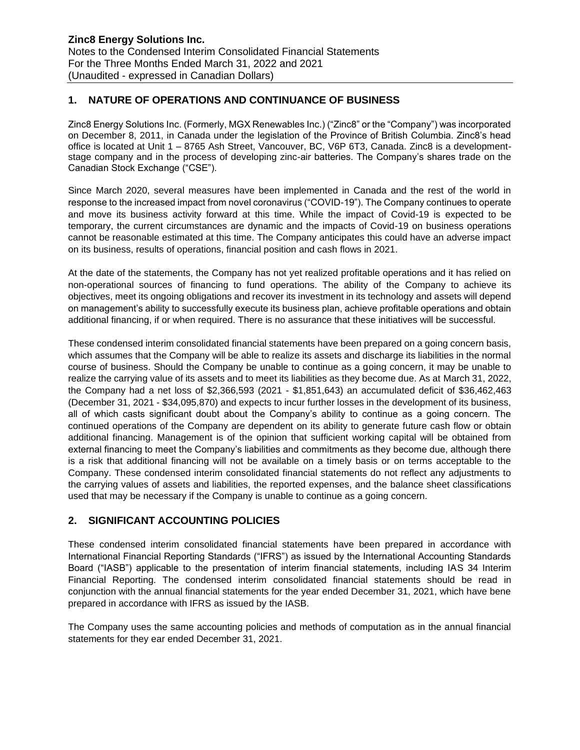### **1. NATURE OF OPERATIONS AND CONTINUANCE OF BUSINESS**

Zinc8 Energy Solutions Inc. (Formerly, MGX Renewables Inc.) ("Zinc8" or the "Company") was incorporated on December 8, 2011, in Canada under the legislation of the Province of British Columbia. Zinc8's head office is located at Unit 1 – 8765 Ash Street, Vancouver, BC, V6P 6T3, Canada. Zinc8 is a developmentstage company and in the process of developing zinc-air batteries. The Company's shares trade on the Canadian Stock Exchange ("CSE").

Since March 2020, several measures have been implemented in Canada and the rest of the world in response to the increased impact from novel coronavirus ("COVID-19"). The Company continues to operate and move its business activity forward at this time. While the impact of Covid-19 is expected to be temporary, the current circumstances are dynamic and the impacts of Covid-19 on business operations cannot be reasonable estimated at this time. The Company anticipates this could have an adverse impact on its business, results of operations, financial position and cash flows in 2021.

At the date of the statements, the Company has not yet realized profitable operations and it has relied on non-operational sources of financing to fund operations. The ability of the Company to achieve its objectives, meet its ongoing obligations and recover its investment in its technology and assets will depend on management's ability to successfully execute its business plan, achieve profitable operations and obtain additional financing, if or when required. There is no assurance that these initiatives will be successful.

These condensed interim consolidated financial statements have been prepared on a going concern basis, which assumes that the Company will be able to realize its assets and discharge its liabilities in the normal course of business. Should the Company be unable to continue as a going concern, it may be unable to realize the carrying value of its assets and to meet its liabilities as they become due. As at March 31, 2022, the Company had a net loss of \$2,366,593 (2021 - \$1,851,643) an accumulated deficit of \$36,462,463 (December 31, 2021 - \$34,095,870) and expects to incur further losses in the development of its business, all of which casts significant doubt about the Company's ability to continue as a going concern. The continued operations of the Company are dependent on its ability to generate future cash flow or obtain additional financing. Management is of the opinion that sufficient working capital will be obtained from external financing to meet the Company's liabilities and commitments as they become due, although there is a risk that additional financing will not be available on a timely basis or on terms acceptable to the Company. These condensed interim consolidated financial statements do not reflect any adjustments to the carrying values of assets and liabilities, the reported expenses, and the balance sheet classifications used that may be necessary if the Company is unable to continue as a going concern.

## **2. SIGNIFICANT ACCOUNTING POLICIES**

These condensed interim consolidated financial statements have been prepared in accordance with International Financial Reporting Standards ("IFRS") as issued by the International Accounting Standards Board ("IASB") applicable to the presentation of interim financial statements, including IAS 34 Interim Financial Reporting. The condensed interim consolidated financial statements should be read in conjunction with the annual financial statements for the year ended December 31, 2021, which have bene prepared in accordance with IFRS as issued by the IASB.

The Company uses the same accounting policies and methods of computation as in the annual financial statements for they ear ended December 31, 2021.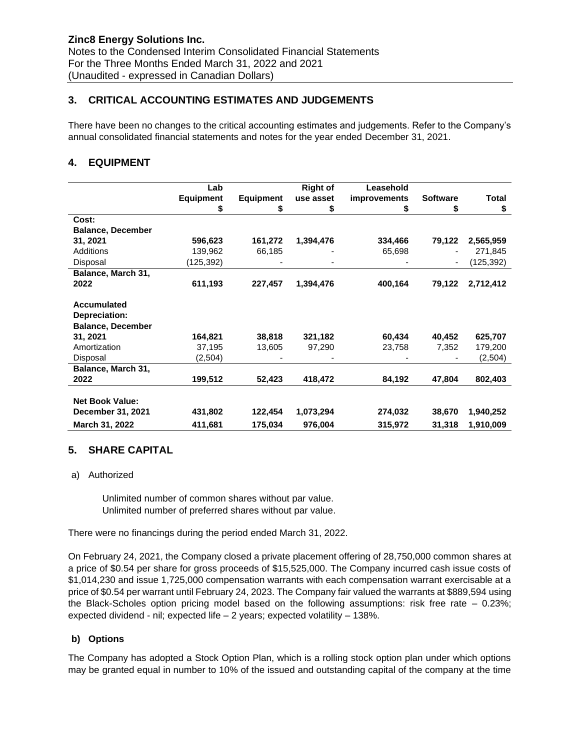## **3. CRITICAL ACCOUNTING ESTIMATES AND JUDGEMENTS**

There have been no changes to the critical accounting estimates and judgements. Refer to the Company's annual consolidated financial statements and notes for the year ended December 31, 2021.

## **4. EQUIPMENT**

|                          | Lab              |                  | <b>Right of</b> | Leasehold           |                 |              |
|--------------------------|------------------|------------------|-----------------|---------------------|-----------------|--------------|
|                          | <b>Equipment</b> | <b>Equipment</b> | use asset       | <i>improvements</i> | <b>Software</b> | <b>Total</b> |
|                          | \$               | \$               | \$              | \$                  | S               | \$           |
| Cost:                    |                  |                  |                 |                     |                 |              |
| <b>Balance, December</b> |                  |                  |                 |                     |                 |              |
| 31, 2021                 | 596,623          | 161,272          | 1,394,476       | 334,466             | 79,122          | 2,565,959    |
| Additions                | 139,962          | 66,185           |                 | 65,698              |                 | 271,845      |
| Disposal                 | (125,392)        |                  |                 |                     |                 | (125, 392)   |
| Balance, March 31,       |                  |                  |                 |                     |                 |              |
| 2022                     | 611,193          | 227,457          | 1,394,476       | 400,164             | 79,122          | 2,712,412    |
|                          |                  |                  |                 |                     |                 |              |
| Accumulated              |                  |                  |                 |                     |                 |              |
| Depreciation:            |                  |                  |                 |                     |                 |              |
| <b>Balance, December</b> |                  |                  |                 |                     |                 |              |
| 31, 2021                 | 164,821          | 38,818           | 321,182         | 60,434              | 40,452          | 625,707      |
| Amortization             | 37,195           | 13,605           | 97,290          | 23,758              | 7,352           | 179,200      |
| Disposal                 | (2,504)          |                  |                 |                     |                 | (2,504)      |
| Balance, March 31,       |                  |                  |                 |                     |                 |              |
| 2022                     | 199,512          | 52,423           | 418,472         | 84,192              | 47,804          | 802,403      |
|                          |                  |                  |                 |                     |                 |              |
| <b>Net Book Value:</b>   |                  |                  |                 |                     |                 |              |
| December 31, 2021        | 431,802          | 122,454          | 1,073,294       | 274,032             | 38,670          | 1,940,252    |
| March 31, 2022           | 411,681          | 175,034          | 976,004         | 315,972             | 31,318          | 1,910,009    |

#### **5. SHARE CAPITAL**

#### a) Authorized

Unlimited number of common shares without par value. Unlimited number of preferred shares without par value.

There were no financings during the period ended March 31, 2022.

On February 24, 2021, the Company closed a private placement offering of 28,750,000 common shares at a price of \$0.54 per share for gross proceeds of \$15,525,000. The Company incurred cash issue costs of \$1,014,230 and issue 1,725,000 compensation warrants with each compensation warrant exercisable at a price of \$0.54 per warrant until February 24, 2023. The Company fair valued the warrants at \$889,594 using the Black-Scholes option pricing model based on the following assumptions: risk free rate – 0.23%; expected dividend - nil; expected life – 2 years; expected volatility – 138%.

#### **b) Options**

The Company has adopted a Stock Option Plan, which is a rolling stock option plan under which options may be granted equal in number to 10% of the issued and outstanding capital of the company at the time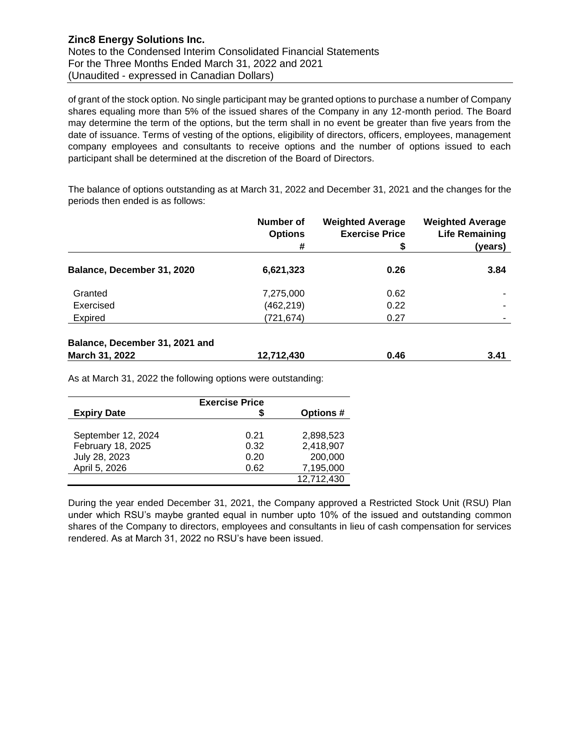of grant of the stock option. No single participant may be granted options to purchase a number of Company shares equaling more than 5% of the issued shares of the Company in any 12-month period. The Board may determine the term of the options, but the term shall in no event be greater than five years from the date of issuance. Terms of vesting of the options, eligibility of directors, officers, employees, management company employees and consultants to receive options and the number of options issued to each participant shall be determined at the discretion of the Board of Directors.

The balance of options outstanding as at March 31, 2022 and December 31, 2021 and the changes for the periods then ended is as follows:

|                                | Number of<br><b>Options</b> | <b>Weighted Average</b><br><b>Exercise Price</b> | <b>Weighted Average</b><br><b>Life Remaining</b> |
|--------------------------------|-----------------------------|--------------------------------------------------|--------------------------------------------------|
|                                | #                           | S                                                | (years)                                          |
| Balance, December 31, 2020     | 6,621,323                   | 0.26                                             | 3.84                                             |
| Granted                        | 7,275,000                   | 0.62                                             |                                                  |
| Exercised                      | (462, 219)                  | 0.22                                             | $\overline{\phantom{a}}$                         |
| Expired                        | (721, 674)                  | 0.27                                             |                                                  |
| Balance, December 31, 2021 and |                             |                                                  |                                                  |
| March 31, 2022                 | 12,712,430                  | 0.46                                             | 3.41                                             |

As at March 31, 2022 the following options were outstanding:

|                    | <b>Exercise Price</b> |                 |
|--------------------|-----------------------|-----------------|
| <b>Expiry Date</b> |                       | <b>Options#</b> |
|                    |                       |                 |
| September 12, 2024 | 0.21                  | 2.898.523       |
| February 18, 2025  | 0.32                  | 2,418,907       |
| July 28, 2023      | 0.20                  | 200,000         |
| April 5, 2026      | 0.62                  | 7,195,000       |
|                    |                       | 12,712,430      |

During the year ended December 31, 2021, the Company approved a Restricted Stock Unit (RSU) Plan under which RSU's maybe granted equal in number upto 10% of the issued and outstanding common shares of the Company to directors, employees and consultants in lieu of cash compensation for services rendered. As at March 31, 2022 no RSU's have been issued.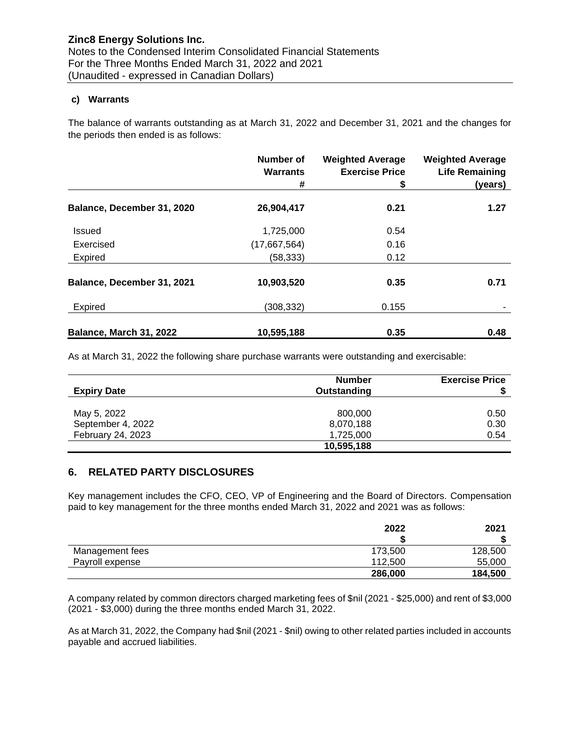#### **c) Warrants**

The balance of warrants outstanding as at March 31, 2022 and December 31, 2021 and the changes for the periods then ended is as follows:

|                            | <b>Number of</b><br><b>Warrants</b><br># | <b>Weighted Average</b><br><b>Exercise Price</b><br>\$ | <b>Weighted Average</b><br><b>Life Remaining</b><br>(years) |
|----------------------------|------------------------------------------|--------------------------------------------------------|-------------------------------------------------------------|
| Balance, December 31, 2020 | 26,904,417                               | 0.21                                                   | 1.27                                                        |
|                            |                                          |                                                        |                                                             |
| Issued                     | 1,725,000                                | 0.54                                                   |                                                             |
| Exercised                  | (17,667,564)                             | 0.16                                                   |                                                             |
| <b>Expired</b>             | (58, 333)                                | 0.12                                                   |                                                             |
| Balance, December 31, 2021 | 10,903,520                               | 0.35                                                   | 0.71                                                        |
| <b>Expired</b>             | (308, 332)                               | 0.155                                                  |                                                             |
| Balance, March 31, 2022    | 10,595,188                               | 0.35                                                   | 0.48                                                        |

As at March 31, 2022 the following share purchase warrants were outstanding and exercisable:

|                    | <b>Number</b> | <b>Exercise Price</b> |
|--------------------|---------------|-----------------------|
| <b>Expiry Date</b> | Outstanding   |                       |
|                    |               |                       |
| May 5, 2022        | 800,000       | 0.50                  |
| September 4, 2022  | 8,070,188     | 0.30                  |
| February 24, 2023  | 1,725,000     | 0.54                  |
|                    | 10,595,188    |                       |

#### **6. RELATED PARTY DISCLOSURES**

Key management includes the CFO, CEO, VP of Engineering and the Board of Directors. Compensation paid to key management for the three months ended March 31, 2022 and 2021 was as follows:

|                 | 2022    | 2021    |
|-----------------|---------|---------|
|                 | œ       |         |
| Management fees | 173,500 | 128,500 |
| Payroll expense | 112.500 | 55,000  |
|                 | 286,000 | 184,500 |

A company related by common directors charged marketing fees of \$nil (2021 - \$25,000) and rent of \$3,000 (2021 - \$3,000) during the three months ended March 31, 2022.

As at March 31, 2022, the Company had \$nil (2021 - \$nil) owing to other related parties included in accounts payable and accrued liabilities.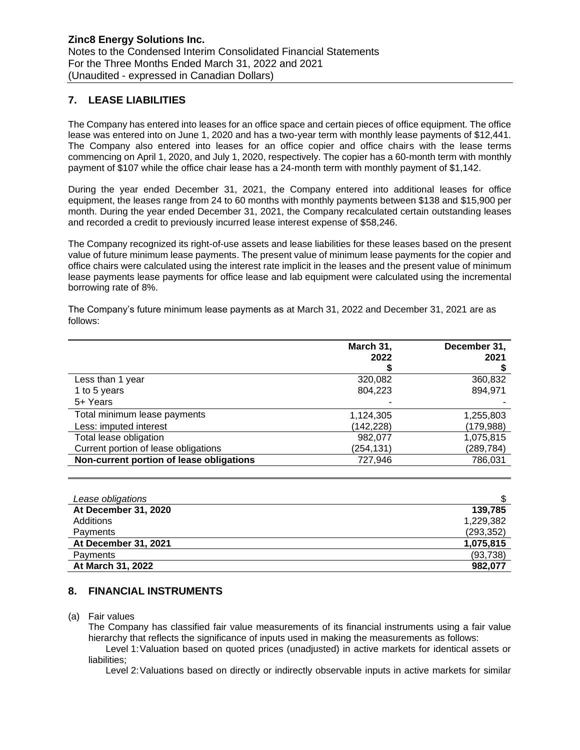## **7. LEASE LIABILITIES**

The Company has entered into leases for an office space and certain pieces of office equipment. The office lease was entered into on June 1, 2020 and has a two-year term with monthly lease payments of \$12,441. The Company also entered into leases for an office copier and office chairs with the lease terms commencing on April 1, 2020, and July 1, 2020, respectively. The copier has a 60-month term with monthly payment of \$107 while the office chair lease has a 24-month term with monthly payment of \$1,142.

During the year ended December 31, 2021, the Company entered into additional leases for office equipment, the leases range from 24 to 60 months with monthly payments between \$138 and \$15,900 per month. During the year ended December 31, 2021, the Company recalculated certain outstanding leases and recorded a credit to previously incurred lease interest expense of \$58,246.

The Company recognized its right-of-use assets and lease liabilities for these leases based on the present value of future minimum lease payments. The present value of minimum lease payments for the copier and office chairs were calculated using the interest rate implicit in the leases and the present value of minimum lease payments lease payments for office lease and lab equipment were calculated using the incremental borrowing rate of 8%.

The Company's future minimum lease payments as at March 31, 2022 and December 31, 2021 are as follows:

|                                          | March 31,  | December 31, |
|------------------------------------------|------------|--------------|
|                                          | 2022       | 2021         |
|                                          |            |              |
| Less than 1 year                         | 320,082    | 360,832      |
| 1 to 5 years                             | 804.223    | 894.971      |
| 5+ Years                                 |            |              |
| Total minimum lease payments             | 1,124,305  | 1,255,803    |
| Less: imputed interest                   | (142, 228) | (179,988)    |
| Total lease obligation                   | 982.077    | 1,075,815    |
| Current portion of lease obligations     | (254,131)  | (289,784)    |
| Non-current portion of lease obligations | 727,946    | 786,031      |

| Lease obligations    |            |
|----------------------|------------|
| At December 31, 2020 | 139.785    |
| Additions            | 1,229,382  |
| Payments             | (293, 352) |
| At December 31, 2021 | 1,075,815  |
| Payments             | (93, 738)  |
| At March 31, 2022    | 982.077    |

#### **8. FINANCIAL INSTRUMENTS**

#### (a) Fair values

The Company has classified fair value measurements of its financial instruments using a fair value hierarchy that reflects the significance of inputs used in making the measurements as follows:

Level 1:Valuation based on quoted prices (unadjusted) in active markets for identical assets or liabilities;

Level 2:Valuations based on directly or indirectly observable inputs in active markets for similar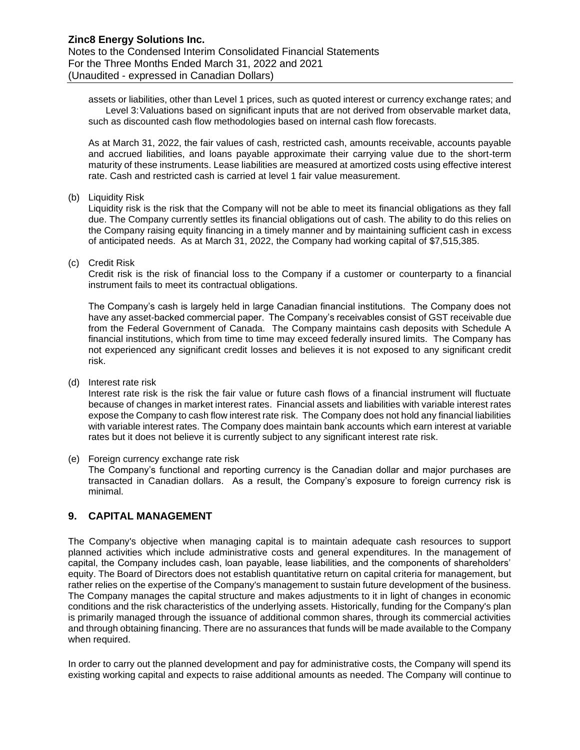assets or liabilities, other than Level 1 prices, such as quoted interest or currency exchange rates; and Level 3:Valuations based on significant inputs that are not derived from observable market data, such as discounted cash flow methodologies based on internal cash flow forecasts.

As at March 31, 2022, the fair values of cash, restricted cash, amounts receivable, accounts payable and accrued liabilities, and loans payable approximate their carrying value due to the short-term maturity of these instruments. Lease liabilities are measured at amortized costs using effective interest rate. Cash and restricted cash is carried at level 1 fair value measurement.

(b) Liquidity Risk

Liquidity risk is the risk that the Company will not be able to meet its financial obligations as they fall due. The Company currently settles its financial obligations out of cash. The ability to do this relies on the Company raising equity financing in a timely manner and by maintaining sufficient cash in excess of anticipated needs. As at March 31, 2022, the Company had working capital of \$7,515,385.

(c) Credit Risk

Credit risk is the risk of financial loss to the Company if a customer or counterparty to a financial instrument fails to meet its contractual obligations.

The Company's cash is largely held in large Canadian financial institutions. The Company does not have any asset-backed commercial paper. The Company's receivables consist of GST receivable due from the Federal Government of Canada. The Company maintains cash deposits with Schedule A financial institutions, which from time to time may exceed federally insured limits. The Company has not experienced any significant credit losses and believes it is not exposed to any significant credit risk.

(d) Interest rate risk

Interest rate risk is the risk the fair value or future cash flows of a financial instrument will fluctuate because of changes in market interest rates. Financial assets and liabilities with variable interest rates expose the Company to cash flow interest rate risk. The Company does not hold any financial liabilities with variable interest rates. The Company does maintain bank accounts which earn interest at variable rates but it does not believe it is currently subject to any significant interest rate risk.

(e) Foreign currency exchange rate risk The Company's functional and reporting currency is the Canadian dollar and major purchases are transacted in Canadian dollars. As a result, the Company's exposure to foreign currency risk is minimal.

### **9. CAPITAL MANAGEMENT**

The Company's objective when managing capital is to maintain adequate cash resources to support planned activities which include administrative costs and general expenditures. In the management of capital, the Company includes cash, loan payable, lease liabilities, and the components of shareholders' equity. The Board of Directors does not establish quantitative return on capital criteria for management, but rather relies on the expertise of the Company's management to sustain future development of the business. The Company manages the capital structure and makes adjustments to it in light of changes in economic conditions and the risk characteristics of the underlying assets. Historically, funding for the Company's plan is primarily managed through the issuance of additional common shares, through its commercial activities and through obtaining financing. There are no assurances that funds will be made available to the Company when required.

In order to carry out the planned development and pay for administrative costs, the Company will spend its existing working capital and expects to raise additional amounts as needed. The Company will continue to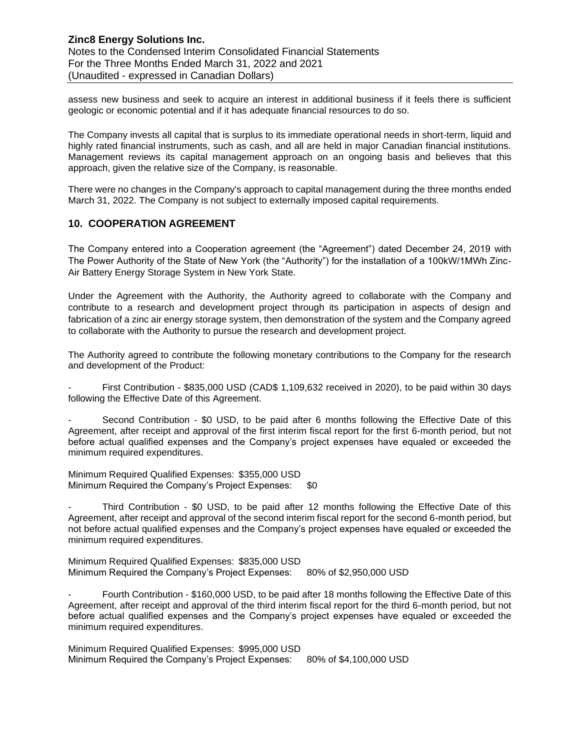#### **Zinc8 Energy Solutions Inc.**  Notes to the Condensed Interim Consolidated Financial Statements For the Three Months Ended March 31, 2022 and 2021 (Unaudited - expressed in Canadian Dollars)

assess new business and seek to acquire an interest in additional business if it feels there is sufficient geologic or economic potential and if it has adequate financial resources to do so.

The Company invests all capital that is surplus to its immediate operational needs in short-term, liquid and highly rated financial instruments, such as cash, and all are held in major Canadian financial institutions. Management reviews its capital management approach on an ongoing basis and believes that this approach, given the relative size of the Company, is reasonable.

There were no changes in the Company's approach to capital management during the three months ended March 31, 2022. The Company is not subject to externally imposed capital requirements.

#### **10. COOPERATION AGREEMENT**

The Company entered into a Cooperation agreement (the "Agreement") dated December 24, 2019 with The Power Authority of the State of New York (the "Authority") for the installation of a 100kW/1MWh Zinc-Air Battery Energy Storage System in New York State.

Under the Agreement with the Authority, the Authority agreed to collaborate with the Company and contribute to a research and development project through its participation in aspects of design and fabrication of a zinc air energy storage system, then demonstration of the system and the Company agreed to collaborate with the Authority to pursue the research and development project.

The Authority agreed to contribute the following monetary contributions to the Company for the research and development of the Product:

First Contribution - \$835,000 USD (CAD\$ 1,109,632 received in 2020), to be paid within 30 days following the Effective Date of this Agreement.

Second Contribution - \$0 USD, to be paid after 6 months following the Effective Date of this Agreement, after receipt and approval of the first interim fiscal report for the first 6-month period, but not before actual qualified expenses and the Company's project expenses have equaled or exceeded the minimum required expenditures.

Minimum Required Qualified Expenses: \$355,000 USD Minimum Required the Company's Project Expenses: \$0

- Third Contribution - \$0 USD, to be paid after 12 months following the Effective Date of this Agreement, after receipt and approval of the second interim fiscal report for the second 6-month period, but not before actual qualified expenses and the Company's project expenses have equaled or exceeded the minimum required expenditures.

Minimum Required Qualified Expenses: \$835,000 USD Minimum Required the Company's Project Expenses: 80% of \$2,950,000 USD

Fourth Contribution - \$160,000 USD, to be paid after 18 months following the Effective Date of this Agreement, after receipt and approval of the third interim fiscal report for the third 6-month period, but not before actual qualified expenses and the Company's project expenses have equaled or exceeded the minimum required expenditures.

Minimum Required Qualified Expenses: \$995,000 USD Minimum Required the Company's Project Expenses: 80% of \$4,100,000 USD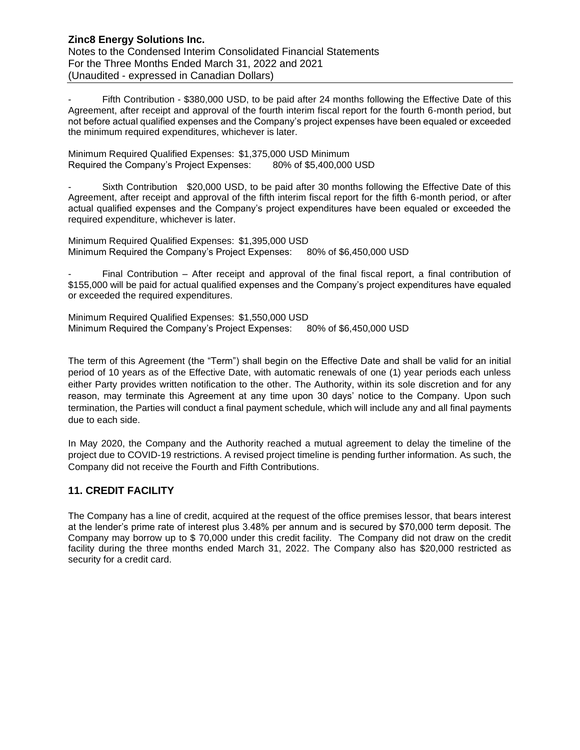Fifth Contribution - \$380,000 USD, to be paid after 24 months following the Effective Date of this Agreement, after receipt and approval of the fourth interim fiscal report for the fourth 6-month period, but not before actual qualified expenses and the Company's project expenses have been equaled or exceeded the minimum required expenditures, whichever is later.

Minimum Required Qualified Expenses: \$1,375,000 USD Minimum Required the Company's Project Expenses: 80% of \$5,400,000 USD

Sixth Contribution \$20,000 USD, to be paid after 30 months following the Effective Date of this Agreement, after receipt and approval of the fifth interim fiscal report for the fifth 6-month period, or after actual qualified expenses and the Company's project expenditures have been equaled or exceeded the required expenditure, whichever is later.

Minimum Required Qualified Expenses: \$1,395,000 USD Minimum Required the Company's Project Expenses: 80% of \$6,450,000 USD

Final Contribution – After receipt and approval of the final fiscal report, a final contribution of \$155,000 will be paid for actual qualified expenses and the Company's project expenditures have equaled or exceeded the required expenditures.

Minimum Required Qualified Expenses: \$1,550,000 USD Minimum Required the Company's Project Expenses: 80% of \$6,450,000 USD

The term of this Agreement (the "Term") shall begin on the Effective Date and shall be valid for an initial period of 10 years as of the Effective Date, with automatic renewals of one (1) year periods each unless either Party provides written notification to the other. The Authority, within its sole discretion and for any reason, may terminate this Agreement at any time upon 30 days' notice to the Company. Upon such termination, the Parties will conduct a final payment schedule, which will include any and all final payments due to each side.

In May 2020, the Company and the Authority reached a mutual agreement to delay the timeline of the project due to COVID-19 restrictions. A revised project timeline is pending further information. As such, the Company did not receive the Fourth and Fifth Contributions.

## **11. CREDIT FACILITY**

The Company has a line of credit, acquired at the request of the office premises lessor, that bears interest at the lender's prime rate of interest plus 3.48% per annum and is secured by \$70,000 term deposit. The Company may borrow up to \$ 70,000 under this credit facility. The Company did not draw on the credit facility during the three months ended March 31, 2022. The Company also has \$20,000 restricted as security for a credit card.